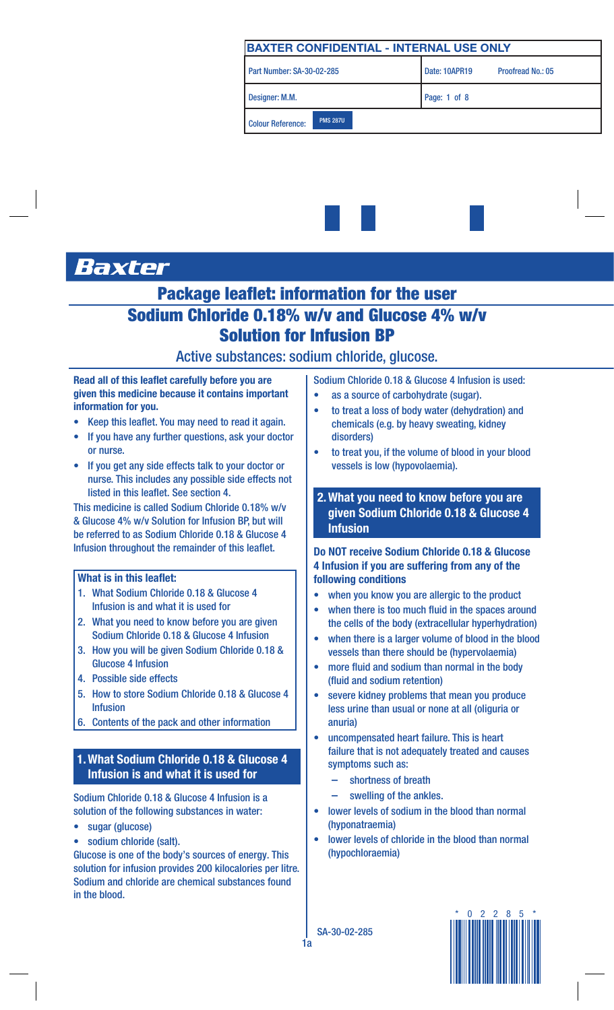



# Baxter

## Package leaflet: information for the user Sodium Chloride 0.18% w/v and Glucose 4% w/v Solution for Infusion BP

## Active substances: sodium chloride, glucose.

Read all of this leaflet carefully before you are given this medicine because it contains important information for you.

- Keep this leaflet. You may need to read it again.
- If you have any further questions, ask your doctor or nurse.
- If you get any side effects talk to your doctor or nurse. This includes any possible side effects not listed in this leaflet. See section 4.

This medicine is called Sodium Chloride 0.18% w/v & Glucose 4% w/v Solution for Infusion BP, but will be referred to as Sodium Chloride 0.18 & Glucose 4 Infusion throughout the remainder of this leaflet.

#### What is in this leaflet:

- 1. What Sodium Chloride 0.18 & Glucose 4 Infusion is and what it is used for
- 2. What you need to know before you are given Sodium Chloride 0.18 & Glucose 4 Infusion
- 3. How you will be given Sodium Chloride 0.18 & Glucose 4 Infusion
- 4. Possible side effects
- 5. How to store Sodium Chloride 0.18 & Glucose 4 Infusion
- 6. Contents of the pack and other information

## 1.What Sodium Chloride 0.18 & Glucose 4 Infusion is and what it is used for

Sodium Chloride 0.18 & Glucose 4 Infusion is a solution of the following substances in water:

- sugar (glucose)
- sodium chloride (salt).

Glucose is one of the body's sources of energy. This solution for infusion provides 200 kilocalories per litre. Sodium and chloride are chemical substances found in the blood.

Sodium Chloride 0.18 & Glucose 4 Infusion is used:

- as a source of carbohydrate (sugar).
- to treat a loss of body water (dehydration) and chemicals (e.g. by heavy sweating, kidney disorders)
- to treat you, if the volume of blood in your blood vessels is low (hypovolaemia).
- 2.What you need to know before you are given Sodium Chloride 0.18 & Glucose 4 Infusion

## Do NOT receive Sodium Chloride 0.18 & Glucose 4 Infusion if you are suffering from any of the following conditions

- when you know you are allergic to the product
- when there is too much fluid in the spaces around the cells of the body (extracellular hyperhydration)
- when there is a larger volume of blood in the blood vessels than there should be (hypervolaemia)
- more fluid and sodium than normal in the body (fluid and sodium retention)
- severe kidney problems that mean you produce less urine than usual or none at all (oliguria or anuria)
- uncompensated heart failure. This is heart failure that is not adequately treated and causes symptoms such as:
	- shortness of breath
	- swelling of the ankles.
- lower levels of sodium in the blood than normal (hyponatraemia)
- lower levels of chloride in the blood than normal (hypochloraemia)

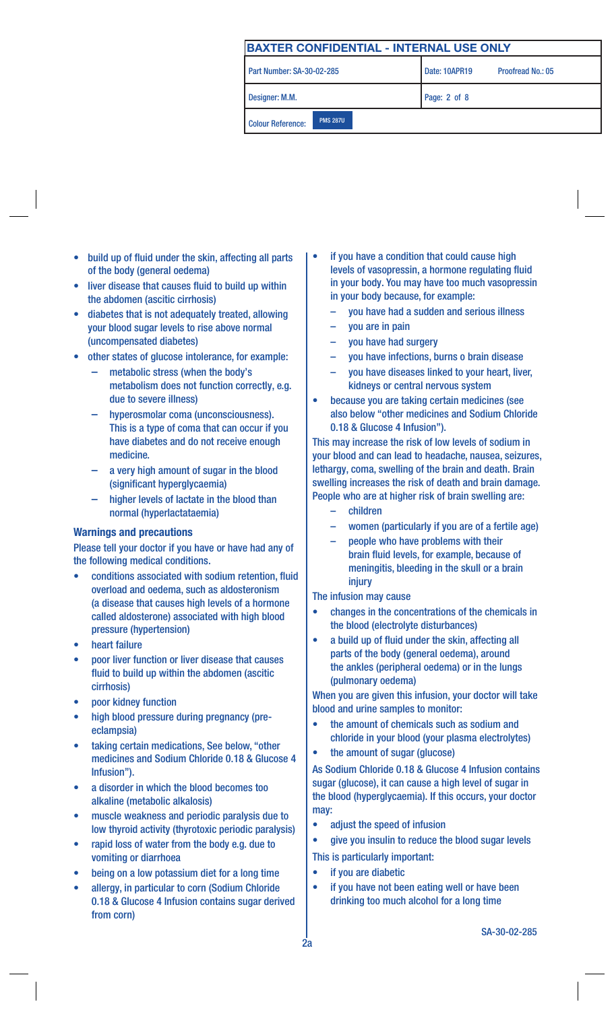Part Number: SA-30-02-285

Designer: M.M. Page: 2 of 8

Colour Reference: PMS 287U

Proofread No.: 05

- build up of fluid under the skin, affecting all parts of the body (general oedema)
- liver disease that causes fluid to build up within the abdomen (ascitic cirrhosis)
- diabetes that is not adequately treated, allowing your blood sugar levels to rise above normal (uncompensated diabetes)
- other states of glucose intolerance, for example:
	- metabolic stress (when the body's metabolism does not function correctly, e.g. due to severe illness)
	- hyperosmolar coma (unconsciousness). This is a type of coma that can occur if you have diabetes and do not receive enough medicine.
	- a very high amount of sugar in the blood (significant hyperglycaemia)
	- higher levels of lactate in the blood than normal (hyperlactataemia)

#### Warnings and precautions

Please tell your doctor if you have or have had any of the following medical conditions.

- conditions associated with sodium retention, fluid overload and oedema, such as aldosteronism (a disease that causes high levels of a hormone called aldosterone) associated with high blood pressure (hypertension)
- heart failure
- poor liver function or liver disease that causes fluid to build up within the abdomen (ascitic cirrhosis)
- poor kidney function
- high blood pressure during pregnancy (preeclampsia)
- taking certain medications, See below, "other medicines and Sodium Chloride 0.18 & Glucose 4 Infusion").
- a disorder in which the blood becomes too alkaline (metabolic alkalosis)
- muscle weakness and periodic paralysis due to low thyroid activity (thyrotoxic periodic paralysis)
- rapid loss of water from the body e.g. due to vomiting or diarrhoea
- being on a low potassium diet for a long time
- allergy, in particular to corn (Sodium Chloride 0.18 & Glucose 4 Infusion contains sugar derived from corn)
- if you have a condition that could cause high levels of vasopressin, a hormone regulating fluid in your body. You may have too much vasopressin in your body because, for example:
	- you have had a sudden and serious illness
	- you are in pain
	- you have had surgery
	- you have infections, burns o brain disease
	- you have diseases linked to your heart, liver, kidneys or central nervous system
- because you are taking certain medicines (see also below "other medicines and Sodium Chloride 0.18 & Glucose 4 Infusion").

This may increase the risk of low levels of sodium in your blood and can lead to headache, nausea, seizures, lethargy, coma, swelling of the brain and death. Brain swelling increases the risk of death and brain damage. People who are at higher risk of brain swelling are:

- children
- women (particularly if you are of a fertile age)
- people who have problems with their brain fluid levels, for example, because of meningitis, bleeding in the skull or a brain injury

The infusion may cause

- changes in the concentrations of the chemicals in the blood (electrolyte disturbances)
- a build up of fluid under the skin, affecting all parts of the body (general oedema), around the ankles (peripheral oedema) or in the lungs (pulmonary oedema)

When you are given this infusion, your doctor will take blood and urine samples to monitor:

- the amount of chemicals such as sodium and chloride in your blood (your plasma electrolytes)
- the amount of sugar (glucose)

As Sodium Chloride 0.18 & Glucose 4 Infusion contains sugar (glucose), it can cause a high level of sugar in the blood (hyperglycaemia). If this occurs, your doctor may:

- adjust the speed of infusion
- give you insulin to reduce the blood sugar levels This is particularly important:
- if you are diabetic
- if you have not been eating well or have been drinking too much alcohol for a long time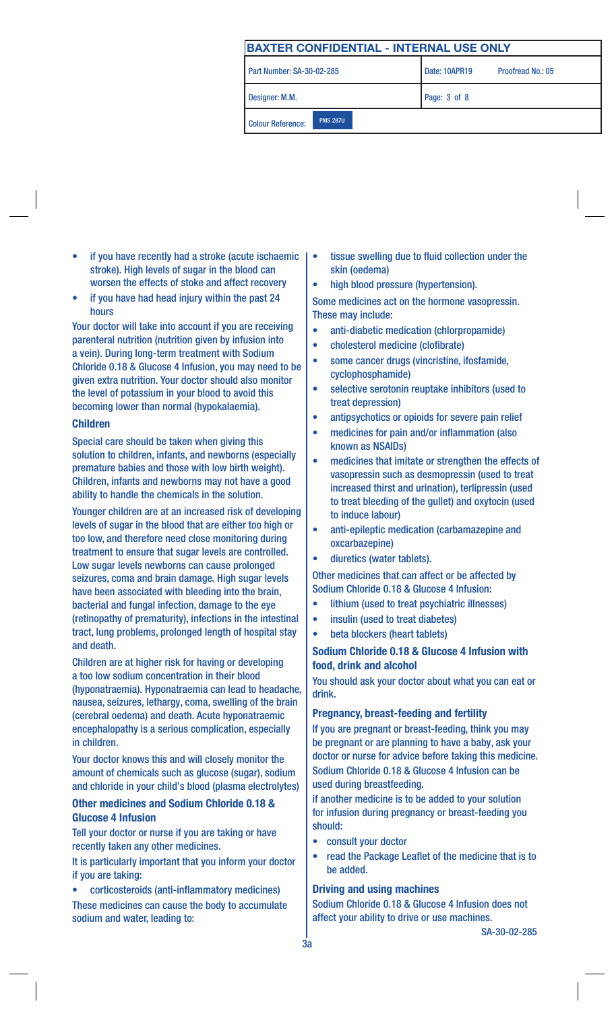Part Number: SA-30-02-285

Designer: M.M. Page: 3 of 8

Proofread No.: 05

Colour Reference: PMS 287U

- if you have recently had a stroke (acute ischaemic stroke). High levels of sugar in the blood can worsen the effects of stoke and affect recovery
- if you have had head injury within the past 24 hours

Your doctor will take into account if you are receiving parenteral nutrition (nutrition given by infusion into a vein). During long-term treatment with Sodium Chloride 0.18 & Glucose 4 Infusion, you may need to be given extra nutrition. Your doctor should also monitor the level of potassium in your blood to avoid this becoming lower than normal (hypokalaemia).

#### Children

Special care should be taken when giving this solution to children, infants, and newborns (especially premature babies and those with low birth weight). Children, infants and newborns may not have a good ability to handle the chemicals in the solution.

Younger children are at an increased risk of developing levels of sugar in the blood that are either too high or too low, and therefore need close monitoring during treatment to ensure that sugar levels are controlled. Low sugar levels newborns can cause prolonged seizures, coma and brain damage. High sugar levels have been associated with bleeding into the brain, bacterial and fungal infection, damage to the eye (retinopathy of prematurity), infections in the intestinal tract, lung problems, prolonged length of hospital stay and death.

Children are at higher risk for having or developing a too low sodium concentration in their blood (hyponatraemia). Hyponatraemia can lead to headache, nausea, seizures, lethargy, coma, swelling of the brain (cerebral oedema) and death. Acute hyponatraemic encephalopathy is a serious complication, especially in children.

Your doctor knows this and will closely monitor the amount of chemicals such as glucose (sugar), sodium and chloride in your child's blood (plasma electrolytes)

## Other medicines and Sodium Chloride 0.18 & Glucose 4 Infusion

Tell your doctor or nurse if you are taking or have recently taken any other medicines.

It is particularly important that you inform your doctor if you are taking:

• corticosteroids (anti-inflammatory medicines) These medicines can cause the body to accumulate sodium and water, leading to:

- tissue swelling due to fluid collection under the skin (oedema)
- high blood pressure (hypertension).

Some medicines act on the hormone vasopressin. These may include:

- anti-diabetic medication (chlorpropamide)
- cholesterol medicine (clofibrate)
- some cancer drugs (vincristine, ifosfamide, cyclophosphamide)
- selective serotonin reuptake inhibitors (used to treat depression)
- antipsychotics or opioids for severe pain relief
- medicines for pain and/or inflammation (also known as NSAIDs)
- medicines that imitate or strengthen the effects of vasopressin such as desmopressin (used to treat increased thirst and urination), terlipressin (used to treat bleeding of the gullet) and oxytocin (used to induce labour)
- anti-epileptic medication (carbamazepine and oxcarbazepine)
- diuretics (water tablets).

Other medicines that can affect or be affected by Sodium Chloride 0.18 & Glucose 4 Infusion:

- lithium (used to treat psychiatric illnesses)
- insulin (used to treat diabetes)
- beta blockers (heart tablets)

## Sodium Chloride 0.18 & Glucose 4 Infusion with food, drink and alcohol

You should ask your doctor about what you can eat or drink.

## Pregnancy, breast-feeding and fertility

If you are pregnant or breast-feeding, think you may be pregnant or are planning to have a baby, ask your doctor or nurse for advice before taking this medicine. Sodium Chloride 0.18 & Glucose 4 Infusion can be used during breastfeeding.

if another medicine is to be added to your solution for infusion during pregnancy or breast-feeding you should:

- consult your doctor
- read the Package Leaflet of the medicine that is to be added.

## Driving and using machines

Sodium Chloride 0.18 & Glucose 4 Infusion does not affect your ability to drive or use machines.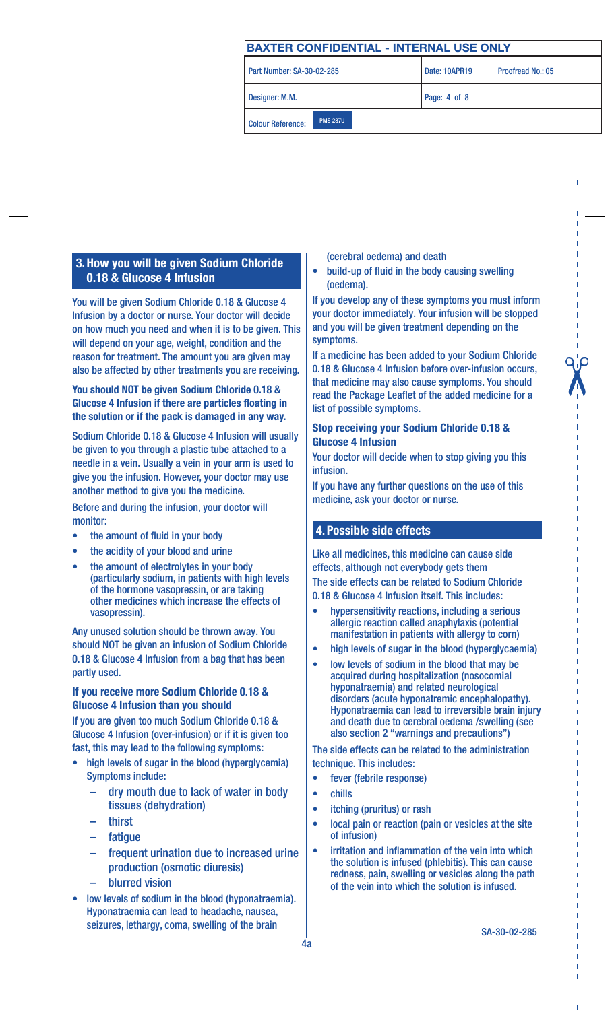Part Number: SA-30-02-285

Colour Reference: PMS 287U

Proofread No.: 05

Designer: M.M. **Page: 4 of 8** 

## 3.How you will be given Sodium Chloride 0.18 & Glucose 4 Infusion

You will be given Sodium Chloride 0.18 & Glucose 4 Infusion by a doctor or nurse. Your doctor will decide on how much you need and when it is to be given. This will depend on your age, weight, condition and the reason for treatment. The amount you are given may also be affected by other treatments you are receiving.

## You should NOT be given Sodium Chloride 0.18 & Glucose 4 Infusion if there are particles floating in the solution or if the pack is damaged in any way.

Sodium Chloride 0.18 & Glucose 4 Infusion will usually be given to you through a plastic tube attached to a needle in a vein. Usually a vein in your arm is used to give you the infusion. However, your doctor may use another method to give you the medicine.

Before and during the infusion, your doctor will monitor:

- the amount of fluid in your body
- the acidity of your blood and urine
- the amount of electrolytes in your body (particularly sodium, in patients with high levels of the hormone vasopressin, or are taking other medicines which increase the effects of vasopressin).

Any unused solution should be thrown away. You should NOT be given an infusion of Sodium Chloride 0.18 & Glucose 4 Infusion from a bag that has been partly used.

## If you receive more Sodium Chloride 0.18 & Glucose 4 Infusion than you should

If you are given too much Sodium Chloride 0.18 & Glucose 4 Infusion (over-infusion) or if it is given too fast, this may lead to the following symptoms:

- high levels of sugar in the blood (hyperglycemia) Symptoms include:
	- dry mouth due to lack of water in body tissues (dehydration)
	- thirst
	- **fatique**
	- frequent urination due to increased urine production (osmotic diuresis)
	- blurred vision
- low levels of sodium in the blood (hyponatraemia). Hyponatraemia can lead to headache, nausea, seizures, lethargy, coma, swelling of the brain

(cerebral oedema) and death

• build-up of fluid in the body causing swelling (oedema).

If you develop any of these symptoms you must inform your doctor immediately. Your infusion will be stopped and you will be given treatment depending on the symptoms.

If a medicine has been added to your Sodium Chloride 0.18 & Glucose 4 Infusion before over-infusion occurs, that medicine may also cause symptoms. You should read the Package Leaflet of the added medicine for a list of possible symptoms.

## Stop receiving your Sodium Chloride 0.18 & Glucose 4 Infusion

Your doctor will decide when to stop giving you this infusion.

If you have any further questions on the use of this medicine, ask your doctor or nurse.

## 4. Possible side effects

Like all medicines, this medicine can cause side effects, although not everybody gets them The side effects can be related to Sodium Chloride 0.18 & Glucose 4 Infusion itself. This includes:

- hypersensitivity reactions, including a serious allergic reaction called anaphylaxis (potential manifestation in patients with allergy to corn)
- high levels of sugar in the blood (hyperglycaemia)
- low levels of sodium in the blood that may be acquired during hospitalization (nosocomial hyponatraemia) and related neurological disorders (acute hyponatremic encephalopathy). Hyponatraemia can lead to irreversible brain injury and death due to cerebral oedema /swelling (see also section 2 "warnings and precautions")

The side effects can be related to the administration technique. This includes:

- fever (febrile response)
- chills
- itching (pruritus) or rash
- local pain or reaction (pain or vesicles at the site of infusion)
- irritation and inflammation of the vein into which the solution is infused (phlebitis). This can cause redness, pain, swelling or vesicles along the path of the vein into which the solution is infused.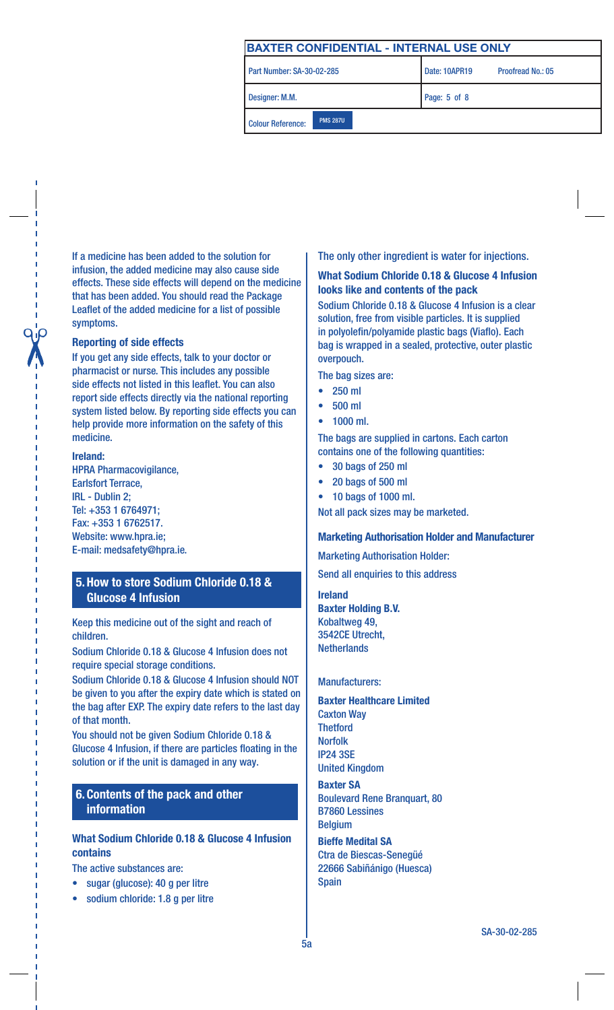Part Number: SA-30-02-285

Colour Reference: PMS 287U

Proofread No.: 05

Designer: M.M. **Page: 5 of 8** 

If a medicine has been added to the solution for infusion, the added medicine may also cause side effects. These side effects will depend on the medicine that has been added. You should read the Package Leaflet of the added medicine for a list of possible symptoms.

## Reporting of side effects

If you get any side effects, talk to your doctor or pharmacist or nurse. This includes any possible side effects not listed in this leaflet. You can also report side effects directly via the national reporting system listed below. By reporting side effects you can help provide more information on the safety of this medicine.

#### Ireland:

HPRA Pharmacovigilance, Earlsfort Terrace, IRL - Dublin 2; Tel: +353 1 6764971; Fax: +353 1 6762517. Website: www.hpra.ie; E-mail: medsafety@hpra.ie.

## 5.How to store Sodium Chloride 0.18 & Glucose 4 Infusion

Keep this medicine out of the sight and reach of children.

Sodium Chloride 0.18 & Glucose 4 Infusion does not require special storage conditions.

Sodium Chloride 0.18 & Glucose 4 Infusion should NOT be given to you after the expiry date which is stated on the bag after EXP. The expiry date refers to the last day of that month.

You should not be given Sodium Chloride 0.18 & Glucose 4 Infusion, if there are particles floating in the solution or if the unit is damaged in any way.

## 6.Contents of the pack and other information

## What Sodium Chloride 0.18 & Glucose 4 Infusion contains

The active substances are:

- sugar (glucose): 40 g per litre
- sodium chloride: 1.8 g per litre

## The only other ingredient is water for injections.

## What Sodium Chloride 0.18 & Glucose 4 Infusion looks like and contents of the pack

Sodium Chloride 0.18 & Glucose 4 Infusion is a clear solution, free from visible particles. It is supplied in polyolefin/polyamide plastic bags (Viaflo). Each bag is wrapped in a sealed, protective, outer plastic overpouch.

The bag sizes are:

- 250 ml
- 500 ml
- 1000 ml.

The bags are supplied in cartons. Each carton contains one of the following quantities:

- 30 bags of 250 ml
- 20 bags of 500 ml
- 10 bags of 1000 ml.

Not all pack sizes may be marketed.

## Marketing Authorisation Holder and Manufacturer

Marketing Authorisation Holder:

Send all enquiries to this address

Ireland Baxter Holding B.V. Kobaltweg 49, 3542CE Utrecht, **Netherlands** 

#### Manufacturers:

#### Baxter Healthcare Limited Caxton Way **Thetford** Norfolk IP24 3SE United Kingdom

Baxter SA Boulevard Rene Branquart, 80 B7860 Lessines Belgium

Bieffe Medital SA Ctra de Biescas-Senegüé 22666 Sabiñánigo (Huesca) Spain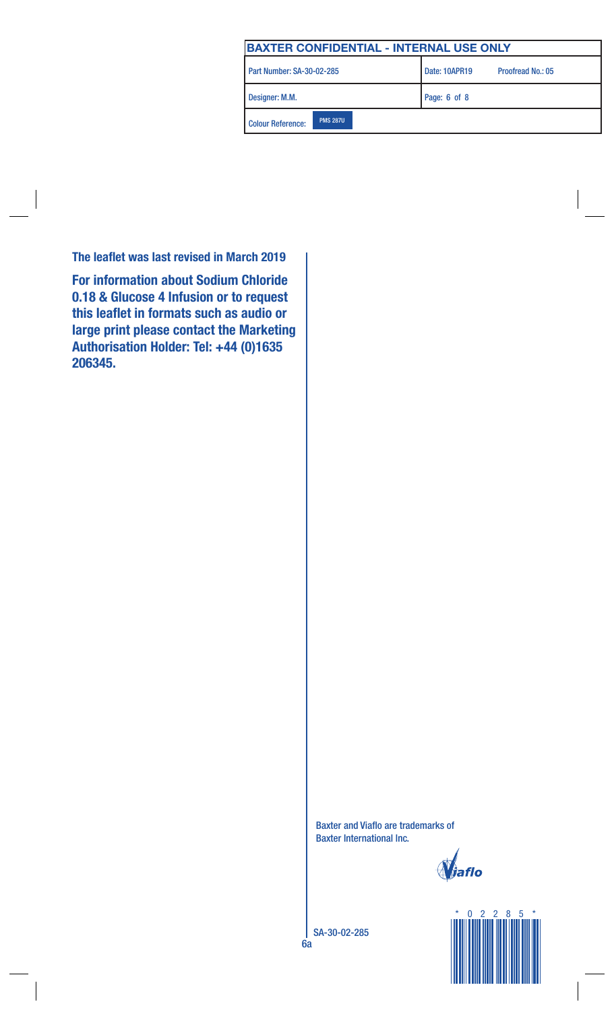| BAXTER CONFIDENTIAL - INTERNAL USE ONLY     |                                           |
|---------------------------------------------|-------------------------------------------|
| Part Number: SA-30-02-285                   | Date: 10APR19<br><b>Proofread No.: 05</b> |
| Designer: M.M.                              | Page: 6 of 8                              |
| <b>PMS 287U</b><br><b>Colour Reference:</b> |                                           |

The leaflet was last revised in March 2019

For information about Sodium Chloride 0.18 & Glucose 4 Infusion or to request this leaflet in formats such as audio or large print please contact the Marketing Authorisation Holder: Tel: +44 (0)1635 206345.

> Baxter and Viaflo are trademarks of Baxter International lnc.

**j**iaflo

SA-30-02-285

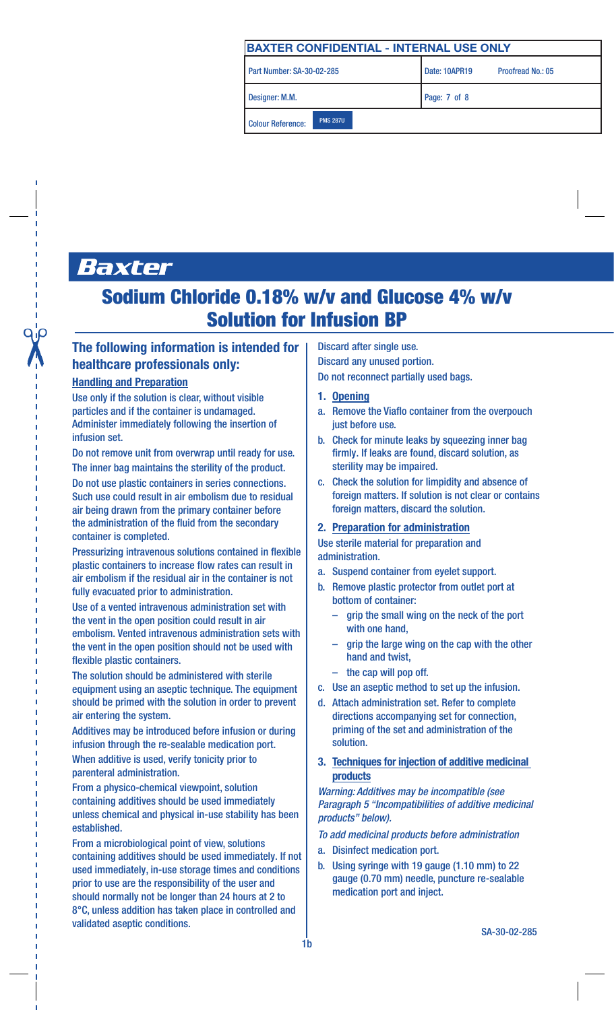| BAXTER CONFIDENTIAL - INTERNAL USE ONLY     |                                    |
|---------------------------------------------|------------------------------------|
| Part Number: SA-30-02-285                   | Date: 10APR19<br>Proofread No.: 05 |
| Designer: M.M.                              | Page: 7 of 8                       |
| <b>PMS 287U</b><br><b>Colour Reference:</b> |                                    |

# Baxter

## Sodium Chloride 0.18% w/v and Glucose 4% w/v Solution for Infusion BP

## The following information is intended for healthcare professionals only:

## Handling and Preparation

Use only if the solution is clear, without visible particles and if the container is undamaged. Administer immediately following the insertion of infusion set.

Do not remove unit from overwrap until ready for use. The inner bag maintains the sterility of the product.

Do not use plastic containers in series connections. Such use could result in air embolism due to residual air being drawn from the primary container before the administration of the fluid from the secondary container is completed.

Pressurizing intravenous solutions contained in flexible plastic containers to increase flow rates can result in air embolism if the residual air in the container is not fully evacuated prior to administration.

Use of a vented intravenous administration set with the vent in the open position could result in air embolism. Vented intravenous administration sets with the vent in the open position should not be used with flexible plastic containers.

The solution should be administered with sterile equipment using an aseptic technique. The equipment should be primed with the solution in order to prevent air entering the system.

Additives may be introduced before infusion or during infusion through the re-sealable medication port. When additive is used, verify tonicity prior to parenteral administration.

From a physico-chemical viewpoint, solution containing additives should be used immediately unless chemical and physical in-use stability has been established.

From a microbiological point of view, solutions containing additives should be used immediately. If not used immediately, in-use storage times and conditions prior to use are the responsibility of the user and should normally not be longer than 24 hours at 2 to 8°C, unless addition has taken place in controlled and validated aseptic conditions.

Discard after single use.

Discard any unused portion.

Do not reconnect partially used bags.

## 1. Opening

- a. Remove the Viaflo container from the overpouch just before use.
- b. Check for minute leaks by squeezing inner bag firmly. If leaks are found, discard solution, as sterility may be impaired.
- c. Check the solution for limpidity and absence of foreign matters. If solution is not clear or contains foreign matters, discard the solution.

#### 2. Preparation for administration

Use sterile material for preparation and administration.

- a. Suspend container from eyelet support.
- b. Remove plastic protector from outlet port at bottom of container:
	- grip the small wing on the neck of the port with one hand,
	- grip the large wing on the cap with the other hand and twist,
	- the cap will pop off.
- c. Use an aseptic method to set up the infusion.
- d. Attach administration set. Refer to complete directions accompanying set for connection, priming of the set and administration of the solution.
- 3. Techniques for injection of additive medicinal products

*Warning: Additives may be incompatible (see Paragraph 5 "Incompatibilities of additive medicinal products" below).*

#### *To add medicinal products before administration*

- a. Disinfect medication port.
- b. Using syringe with 19 gauge (1.10 mm) to 22 gauge (0.70 mm) needle, puncture re-sealable medication port and inject.